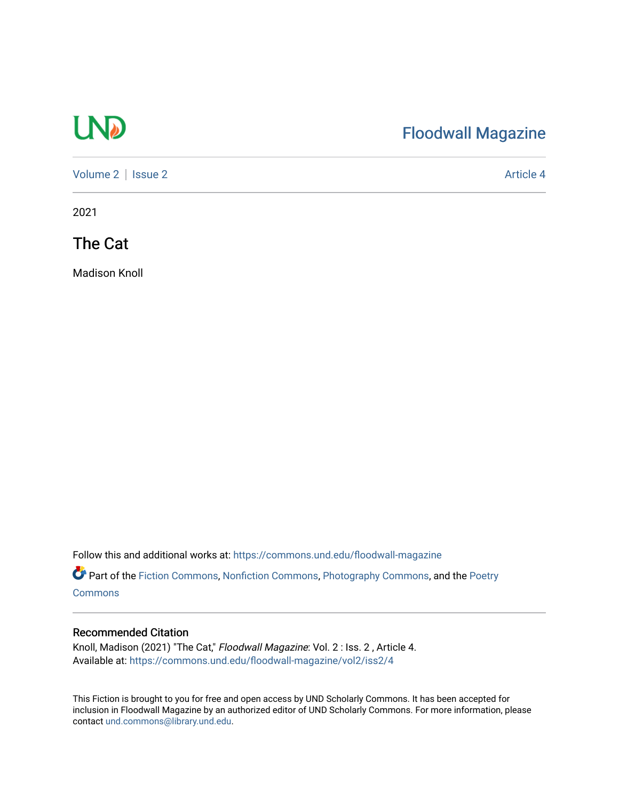# UP

## [Floodwall Magazine](https://commons.und.edu/floodwall-magazine)

[Volume 2](https://commons.und.edu/floodwall-magazine/vol2) | [Issue 2](https://commons.und.edu/floodwall-magazine/vol2/iss2) Article 4

2021

The Cat

Madison Knoll

Follow this and additional works at: [https://commons.und.edu/floodwall-magazine](https://commons.und.edu/floodwall-magazine?utm_source=commons.und.edu%2Ffloodwall-magazine%2Fvol2%2Fiss2%2F4&utm_medium=PDF&utm_campaign=PDFCoverPages)

Part of the [Fiction Commons,](http://network.bepress.com/hgg/discipline/1151?utm_source=commons.und.edu%2Ffloodwall-magazine%2Fvol2%2Fiss2%2F4&utm_medium=PDF&utm_campaign=PDFCoverPages) [Nonfiction Commons](http://network.bepress.com/hgg/discipline/1152?utm_source=commons.und.edu%2Ffloodwall-magazine%2Fvol2%2Fiss2%2F4&utm_medium=PDF&utm_campaign=PDFCoverPages), [Photography Commons,](http://network.bepress.com/hgg/discipline/1142?utm_source=commons.und.edu%2Ffloodwall-magazine%2Fvol2%2Fiss2%2F4&utm_medium=PDF&utm_campaign=PDFCoverPages) and the [Poetry](http://network.bepress.com/hgg/discipline/1153?utm_source=commons.und.edu%2Ffloodwall-magazine%2Fvol2%2Fiss2%2F4&utm_medium=PDF&utm_campaign=PDFCoverPages) **[Commons](http://network.bepress.com/hgg/discipline/1153?utm_source=commons.und.edu%2Ffloodwall-magazine%2Fvol2%2Fiss2%2F4&utm_medium=PDF&utm_campaign=PDFCoverPages)** 

#### Recommended Citation

Knoll, Madison (2021) "The Cat," Floodwall Magazine: Vol. 2 : Iss. 2, Article 4. Available at: [https://commons.und.edu/floodwall-magazine/vol2/iss2/4](https://commons.und.edu/floodwall-magazine/vol2/iss2/4?utm_source=commons.und.edu%2Ffloodwall-magazine%2Fvol2%2Fiss2%2F4&utm_medium=PDF&utm_campaign=PDFCoverPages) 

This Fiction is brought to you for free and open access by UND Scholarly Commons. It has been accepted for inclusion in Floodwall Magazine by an authorized editor of UND Scholarly Commons. For more information, please contact [und.commons@library.und.edu.](mailto:und.commons@library.und.edu)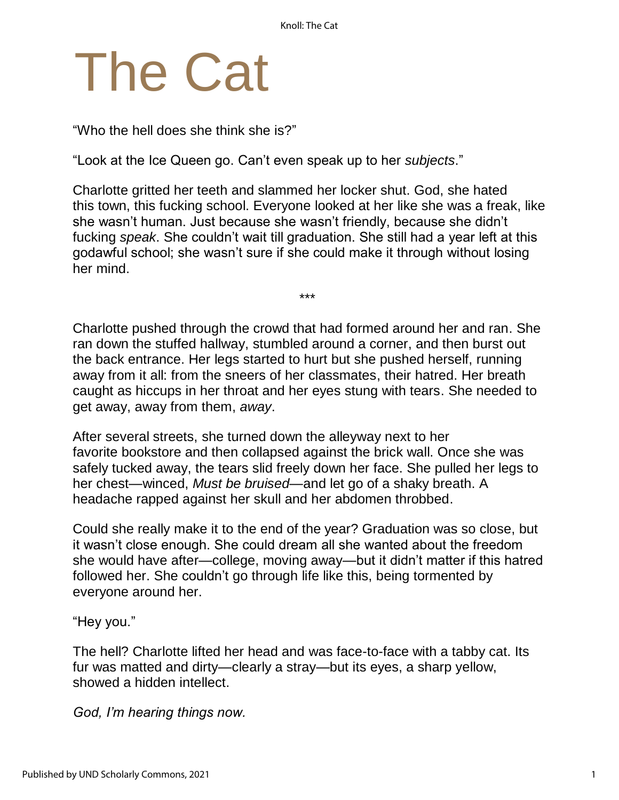# The Cat

"Who the hell does she think she is?"

"Look at the Ice Queen go. Can't even speak up to her *subjects*."

Charlotte gritted her teeth and slammed her locker shut. God, she hated this town, this fucking school. Everyone looked at her like she was a freak, like she wasn't human. Just because she wasn't friendly, because she didn't fucking *speak*. She couldn't wait till graduation. She still had a year left at this godawful school; she wasn't sure if she could make it through without losing her mind.

\*\*\*

Charlotte pushed through the crowd that had formed around her and ran. She ran down the stuffed hallway, stumbled around a corner, and then burst out the back entrance. Her legs started to hurt but she pushed herself, running away from it all: from the sneers of her classmates, their hatred. Her breath caught as hiccups in her throat and her eyes stung with tears. She needed to get away, away from them, *away*.

After several streets, she turned down the alleyway next to her favorite bookstore and then collapsed against the brick wall. Once she was safely tucked away, the tears slid freely down her face. She pulled her legs to her chest—winced, *Must be bruised*—and let go of a shaky breath. A headache rapped against her skull and her abdomen throbbed.

Could she really make it to the end of the year? Graduation was so close, but it wasn't close enough. She could dream all she wanted about the freedom she would have after—college, moving away—but it didn't matter if this hatred followed her. She couldn't go through life like this, being tormented by everyone around her.

"Hey you."

The hell? Charlotte lifted her head and was face-to-face with a tabby cat. Its fur was matted and dirty—clearly a stray—but its eyes, a sharp yellow, showed a hidden intellect.

*God, I'm hearing things now.*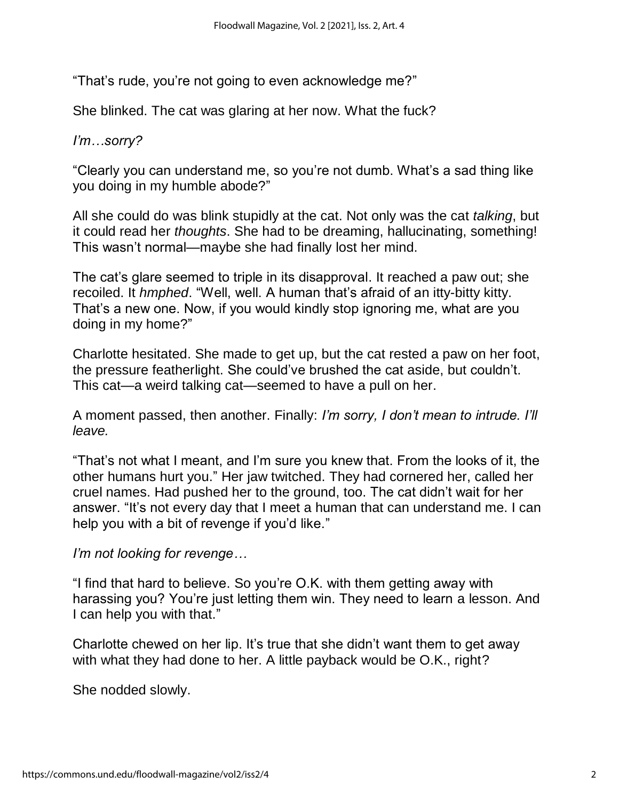"That's rude, you're not going to even acknowledge me?"

She blinked. The cat was glaring at her now. What the fuck?

### *I'm…sorry?*

"Clearly you can understand me, so you're not dumb. What's a sad thing like you doing in my humble abode?"

All she could do was blink stupidly at the cat. Not only was the cat *talking*, but it could read her *thoughts*. She had to be dreaming, hallucinating, something! This wasn't normal—maybe she had finally lost her mind.

The cat's glare seemed to triple in its disapproval. It reached a paw out; she recoiled. It *hmphed*. "Well, well. A human that's afraid of an itty-bitty kitty. That's a new one. Now, if you would kindly stop ignoring me, what are you doing in my home?"

Charlotte hesitated. She made to get up, but the cat rested a paw on her foot, the pressure featherlight. She could've brushed the cat aside, but couldn't. This cat—a weird talking cat—seemed to have a pull on her.

A moment passed, then another. Finally: *I'm sorry, I don't mean to intrude. I'll leave.*

"That's not what I meant, and I'm sure you knew that. From the looks of it, the other humans hurt you." Her jaw twitched. They had cornered her, called her cruel names. Had pushed her to the ground, too. The cat didn't wait for her answer. "It's not every day that I meet a human that can understand me. I can help you with a bit of revenge if you'd like."

*I'm not looking for revenge…*

"I find that hard to believe. So you're O.K. with them getting away with harassing you? You're just letting them win. They need to learn a lesson. And I can help you with that."

Charlotte chewed on her lip. It's true that she didn't want them to get away with what they had done to her. A little payback would be O.K., right?

She nodded slowly.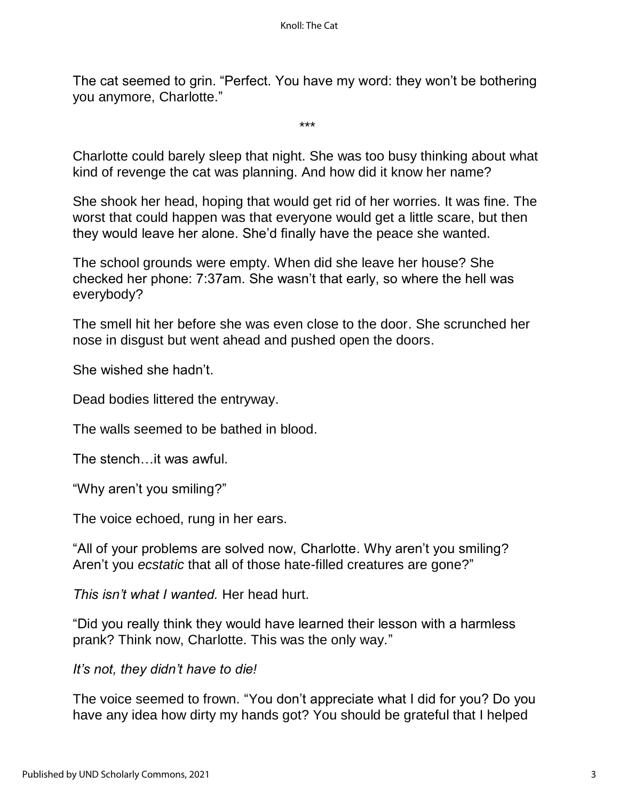The cat seemed to grin. "Perfect. You have my word: they won't be bothering you anymore, Charlotte."

\*\*\*

Charlotte could barely sleep that night. She was too busy thinking about what kind of revenge the cat was planning. And how did it know her name?

She shook her head, hoping that would get rid of her worries. It was fine. The worst that could happen was that everyone would get a little scare, but then they would leave her alone. She'd finally have the peace she wanted.

The school grounds were empty. When did she leave her house? She checked her phone: 7:37am. She wasn't that early, so where the hell was everybody?

The smell hit her before she was even close to the door. She scrunched her nose in disgust but went ahead and pushed open the doors.

She wished she hadn't.

Dead bodies littered the entryway.

The walls seemed to be bathed in blood.

The stench…it was awful.

"Why aren't you smiling?"

The voice echoed, rung in her ears.

"All of your problems are solved now, Charlotte. Why aren't you smiling? Aren't you *ecstatic* that all of those hate-filled creatures are gone?"

*This isn't what I wanted.* Her head hurt.

"Did you really think they would have learned their lesson with a harmless prank? Think now, Charlotte. This was the only way."

*It's not, they didn't have to die!*

The voice seemed to frown. "You don't appreciate what I did for you? Do you have any idea how dirty my hands got? You should be grateful that I helped